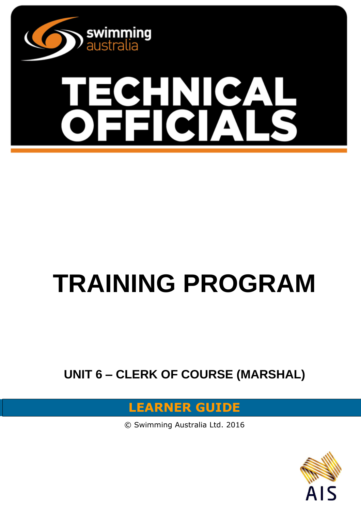

# **ZHN** ICA

## **TRAINING PROGRAM**

**UNIT 6 – CLERK OF COURSE (MARSHAL)**

### **LEARNER GUIDE**

© Swimming Australia Ltd. 2016

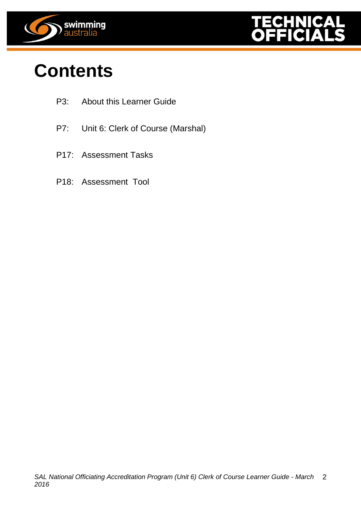



## **Contents**

- P3: About this Learner Guide
- P7: Unit 6: Clerk of Course (Marshal)
- P17: Assessment Tasks
- P18: Assessment Tool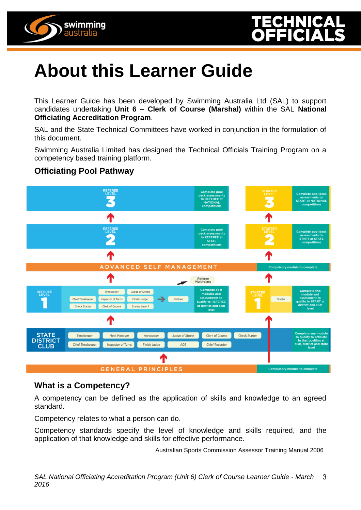



## **About this Learner Guide**

This Learner Guide has been developed by Swimming Australia Ltd (SAL) to support candidates undertaking **Unit 6 – Clerk of Course (Marshal)** within the SAL **National Officiating Accreditation Program**.

SAL and the State Technical Committees have worked in conjunction in the formulation of this document.

Swimming Australia Limited has designed the Technical Officials Training Program on a competency based training platform.

#### **Officiating Pool Pathway**



#### **What is a Competency?**

A competency can be defined as the application of skills and knowledge to an agreed standard.

Competency relates to what a person can do.

Competency standards specify the level of knowledge and skills required, and the application of that knowledge and skills for effective performance.

Australian Sports Commission Assessor Training Manual 2006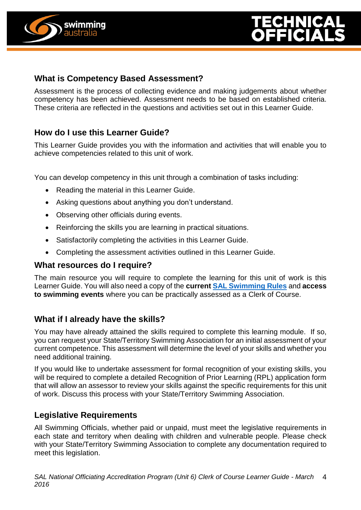



#### **What is Competency Based Assessment?**

Assessment is the process of collecting evidence and making judgements about whether competency has been achieved. Assessment needs to be based on established criteria. These criteria are reflected in the questions and activities set out in this Learner Guide.

#### **How do I use this Learner Guide?**

This Learner Guide provides you with the information and activities that will enable you to achieve competencies related to this unit of work.

You can develop competency in this unit through a combination of tasks including:

- Reading the material in this Learner Guide.
- Asking questions about anything you don't understand.
- Observing other officials during events.
- Reinforcing the skills you are learning in practical situations.
- Satisfactorily completing the activities in this Learner Guide.
- Completing the assessment activities outlined in this Learner Guide.

#### **What resources do I require?**

The main resource you will require to complete the learning for this unit of work is this Learner Guide. You will also need a copy of the **current [SAL Swimming Rules](http://www.swimming.org.au/visageimages/1_SAL/Rules/SAL%20Swimming%20Rules%20%20JAN%202014%20updated%2005.02.15.pdf)** and **access to swimming events** where you can be practically assessed as a Clerk of Course.

#### **What if I already have the skills?**

You may have already attained the skills required to complete this learning module. If so, you can request your State/Territory Swimming Association for an initial assessment of your current competence. This assessment will determine the level of your skills and whether you need additional training.

If you would like to undertake assessment for formal recognition of your existing skills, you will be required to complete a detailed Recognition of Prior Learning (RPL) application form that will allow an assessor to review your skills against the specific requirements for this unit of work. Discuss this process with your State/Territory Swimming Association.

#### **Legislative Requirements**

All Swimming Officials, whether paid or unpaid, must meet the legislative requirements in each state and territory when dealing with children and vulnerable people. Please check with your State/Territory Swimming Association to complete any documentation required to meet this legislation.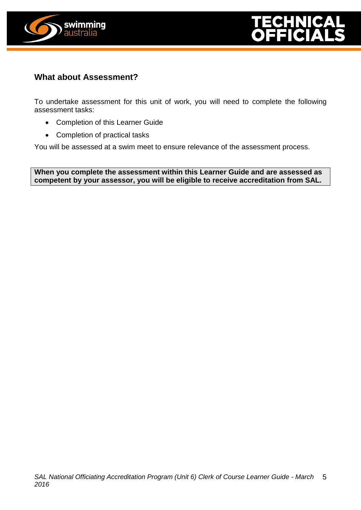



#### **What about Assessment?**

To undertake assessment for this unit of work, you will need to complete the following assessment tasks:

- Completion of this Learner Guide
- Completion of practical tasks

You will be assessed at a swim meet to ensure relevance of the assessment process.

**When you complete the assessment within this Learner Guide and are assessed as competent by your assessor, you will be eligible to receive accreditation from SAL.**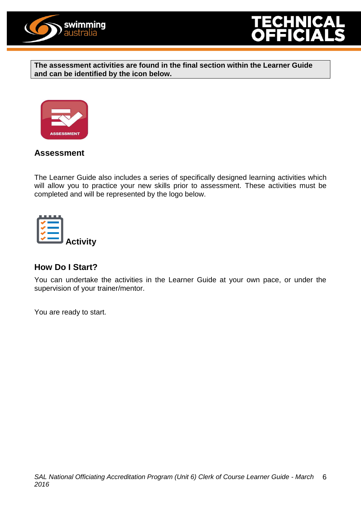



**The assessment activities are found in the final section within the Learner Guide and can be identified by the icon below.**



#### **Assessment**

The Learner Guide also includes a series of specifically designed learning activities which will allow you to practice your new skills prior to assessment. These activities must be completed and will be represented by the logo below.



#### **How Do I Start?**

You can undertake the activities in the Learner Guide at your own pace, or under the supervision of your trainer/mentor.

You are ready to start.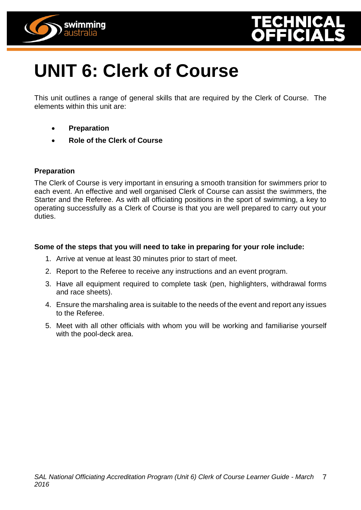



## **UNIT 6: Clerk of Course**

This unit outlines a range of general skills that are required by the Clerk of Course. The elements within this unit are:

- **Preparation**
- **Role of the Clerk of Course**

#### **Preparation**

The Clerk of Course is very important in ensuring a smooth transition for swimmers prior to each event. An effective and well organised Clerk of Course can assist the swimmers, the Starter and the Referee. As with all officiating positions in the sport of swimming, a key to operating successfully as a Clerk of Course is that you are well prepared to carry out your duties.

#### **Some of the steps that you will need to take in preparing for your role include:**

- 1. Arrive at venue at least 30 minutes prior to start of meet.
- 2. Report to the Referee to receive any instructions and an event program.
- 3. Have all equipment required to complete task (pen, highlighters, withdrawal forms and race sheets).
- 4. Ensure the marshaling area is suitable to the needs of the event and report any issues to the Referee.
- 5. Meet with all other officials with whom you will be working and familiarise yourself with the pool-deck area.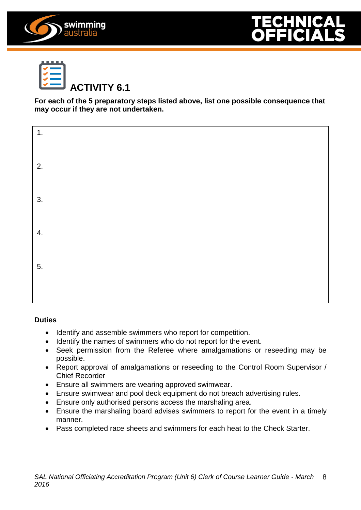





**For each of the 5 preparatory steps listed above, list one possible consequence that may occur if they are not undertaken.**

| 1. |  |  |  |
|----|--|--|--|
| 2. |  |  |  |
| 3. |  |  |  |
| 4. |  |  |  |
| 5. |  |  |  |
|    |  |  |  |

#### **Duties**

- Identify and assemble swimmers who report for competition.
- Identify the names of swimmers who do not report for the event.
- Seek permission from the Referee where amalgamations or reseeding may be possible.
- Report approval of amalgamations or reseeding to the Control Room Supervisor / Chief Recorder
- Ensure all swimmers are wearing approved swimwear.
- Ensure swimwear and pool deck equipment do not breach advertising rules.
- Ensure only authorised persons access the marshaling area.
- Ensure the marshaling board advises swimmers to report for the event in a timely manner.
- Pass completed race sheets and swimmers for each heat to the Check Starter.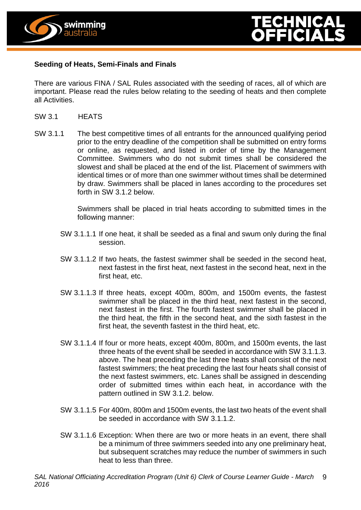



#### **Seeding of Heats, Semi-Finals and Finals**

There are various FINA / SAL Rules associated with the seeding of races, all of which are important. Please read the rules below relating to the seeding of heats and then complete all Activities.

- SW 3.1 HEATS
- SW 3.1.1 The best competitive times of all entrants for the announced qualifying period prior to the entry deadline of the competition shall be submitted on entry forms or online, as requested, and listed in order of time by the Management Committee. Swimmers who do not submit times shall be considered the slowest and shall be placed at the end of the list. Placement of swimmers with identical times or of more than one swimmer without times shall be determined by draw. Swimmers shall be placed in lanes according to the procedures set forth in SW 3.1.2 below.

Swimmers shall be placed in trial heats according to submitted times in the following manner:

- SW 3.1.1.1 If one heat, it shall be seeded as a final and swum only during the final session.
- SW 3.1.1.2 If two heats, the fastest swimmer shall be seeded in the second heat, next fastest in the first heat, next fastest in the second heat, next in the first heat, etc.
- SW 3.1.1.3 If three heats, except 400m, 800m, and 1500m events, the fastest swimmer shall be placed in the third heat, next fastest in the second, next fastest in the first. The fourth fastest swimmer shall be placed in the third heat, the fifth in the second heat, and the sixth fastest in the first heat, the seventh fastest in the third heat, etc.
- SW 3.1.1.4 If four or more heats, except 400m, 800m, and 1500m events, the last three heats of the event shall be seeded in accordance with SW 3.1.1.3. above. The heat preceding the last three heats shall consist of the next fastest swimmers; the heat preceding the last four heats shall consist of the next fastest swimmers, etc. Lanes shall be assigned in descending order of submitted times within each heat, in accordance with the pattern outlined in SW 3.1.2. below.
- SW 3.1.1.5 For 400m, 800m and 1500m events, the last two heats of the event shall be seeded in accordance with SW 3.1.1.2.
- SW 3.1.1.6 Exception: When there are two or more heats in an event, there shall be a minimum of three swimmers seeded into any one preliminary heat, but subsequent scratches may reduce the number of swimmers in such heat to less than three.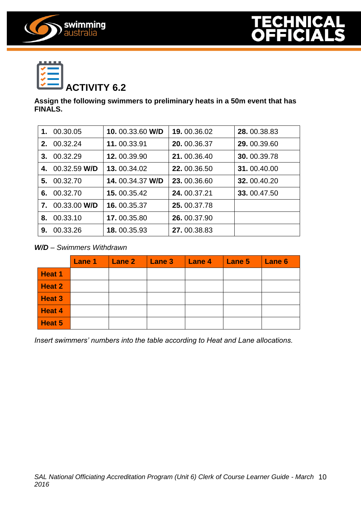





**Assign the following swimmers to preliminary heats in a 50m event that has FINALS.**

| 1.      | 00.30.05     | 10.00.33.60 W/D | 19, 00.36.02 | 28, 00.38.83 |
|---------|--------------|-----------------|--------------|--------------|
| $2_{-}$ | 00.32.24     | 11, 00.33.91    | 20, 00.36.37 | 29, 00.39.60 |
| 3.      | 00.32.29     | 12, 00.39.90    | 21, 00.36.40 | 30, 00.39.78 |
| 4.      | 00.32.59 W/D | 13, 00.34.02    | 22, 00.36.50 | 31.00.40.00  |
| 5.      | 00.32.70     | 14.00.34.37 W/D | 23, 00.36.60 | 32, 00.40.20 |
| 6.      | 00.32.70     | 15, 00.35.42    | 24, 00.37.21 | 33.00.47.50  |
| 7.      | 00.33.00 W/D | 16, 00.35.37    | 25, 00.37.78 |              |
| 8.      | 00.33.10     | 17, 00.35.80    | 26.00.37.90  |              |
| 9.      | 00.33.26     | 18.00.35.93     | 27, 00.38.83 |              |

*W/D – Swimmers Withdrawn*

|        | Lane 1 | Lane 2 | $ $ Lane 3 | $ $ Lane 4 | Lane 5 | Lane 6 |
|--------|--------|--------|------------|------------|--------|--------|
| Heat 1 |        |        |            |            |        |        |
| Heat 2 |        |        |            |            |        |        |
| Heat 3 |        |        |            |            |        |        |
| Heat 4 |        |        |            |            |        |        |
| Heat 5 |        |        |            |            |        |        |

*Insert swimmers' numbers into the table according to Heat and Lane allocations.*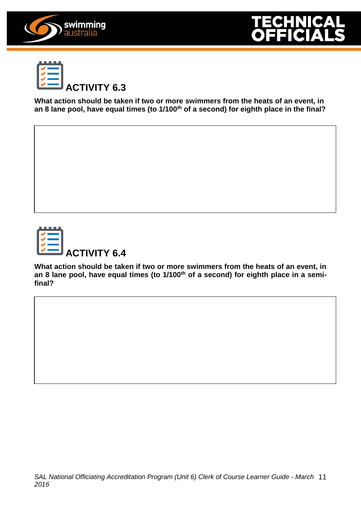





**What action should be taken if two or more swimmers from the heats of an event, in an 8 lane pool, have equal times (to 1/100th of a second) for eighth place in the final?**



**What action should be taken if two or more swimmers from the heats of an event, in an 8 lane pool, have equal times (to 1/100th of a second) for eighth place in a semifinal?**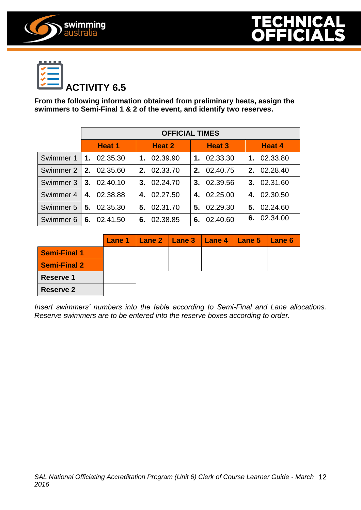



swimming<br>australia

**From the following information obtained from preliminary heats, assign the swimmers to Semi-Final 1 & 2 of the event, and identify two reserves.**

|           | <b>OFFICIAL TIMES</b>   |                |                |                |  |  |  |
|-----------|-------------------------|----------------|----------------|----------------|--|--|--|
|           | <b>Heat 1</b>           | <b>Heat 2</b>  | Heat 3         | <b>Heat 4</b>  |  |  |  |
| Swimmer 1 | 1. 02.35.30             | 1. 02.39.90    | 1. 02.33.30    | 02.33.80<br>1. |  |  |  |
|           | Swimmer 2   2. 02.35.60 | 2. 02.33.70    | 2. 02.40.75    | 2. 02.28.40    |  |  |  |
| Swimmer 3 | 3. 02.40.10             | 3. 02.24.70    | 3. 02.39.56    | 3. 02.31.60    |  |  |  |
| Swimmer 4 | 4. 02.38.88             | 4. 02.27.50    | 4. 02.25.00    | 4. 02.30.50    |  |  |  |
| Swimmer 5 | 5. 02.35.30             | 5. 02.31.70    | 5. 02.29.30    | 5. 02.24.60    |  |  |  |
| Swimmer 6 | 6. 02.41.50             | 02.38.85<br>6. | 02.40.60<br>6. | 6. 02.34.00    |  |  |  |

|                     |  |  | Lane 1   Lane 2   Lane 3   Lane 4   Lane 5   Lane 6 |  |
|---------------------|--|--|-----------------------------------------------------|--|
| <b>Semi-Final 1</b> |  |  |                                                     |  |
| <b>Semi-Final 2</b> |  |  |                                                     |  |
| <b>Reserve 1</b>    |  |  |                                                     |  |
| <b>Reserve 2</b>    |  |  |                                                     |  |

*Insert swimmers' numbers into the table according to Semi-Final and Lane allocations. Reserve swimmers are to be entered into the reserve boxes according to order.*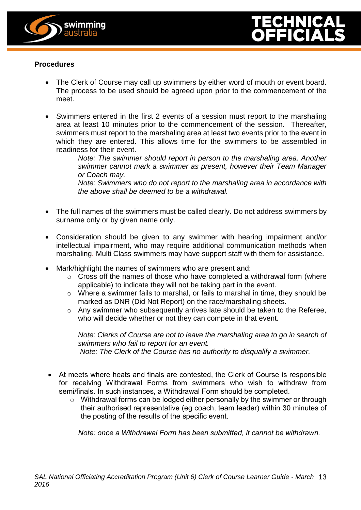



#### **Procedures**

- The Clerk of Course may call up swimmers by either word of mouth or event board. The process to be used should be agreed upon prior to the commencement of the meet.
- Swimmers entered in the first 2 events of a session must report to the marshaling area at least 10 minutes prior to the commencement of the session. Thereafter, swimmers must report to the marshaling area at least two events prior to the event in which they are entered. This allows time for the swimmers to be assembled in readiness for their event.

*Note: The swimmer should report in person to the marshaling area. Another swimmer cannot mark a swimmer as present, however their Team Manager or Coach may.*

*Note: Swimmers who do not report to the marshaling area in accordance with the above shall be deemed to be a withdrawal.*

- The full names of the swimmers must be called clearly. Do not address swimmers by surname only or by given name only.
- Consideration should be given to any swimmer with hearing impairment and/or intellectual impairment, who may require additional communication methods when marshaling. Multi Class swimmers may have support staff with them for assistance.
- Mark/highlight the names of swimmers who are present and:
	- $\circ$  Cross off the names of those who have completed a withdrawal form (where applicable) to indicate they will not be taking part in the event.
	- o Where a swimmer fails to marshal, or fails to marshal in time, they should be marked as DNR (Did Not Report) on the race/marshaling sheets.
	- o Any swimmer who subsequently arrives late should be taken to the Referee, who will decide whether or not they can compete in that event.

*Note: Clerks of Course are not to leave the marshaling area to go in search of swimmers who fail to report for an event. Note: The Clerk of the Course has no authority to disqualify a swimmer.*

- At meets where heats and finals are contested, the Clerk of Course is responsible for receiving Withdrawal Forms from swimmers who wish to withdraw from semi/finals. In such instances, a Withdrawal Form should be completed.
	- o Withdrawal forms can be lodged either personally by the swimmer or through their authorised representative (eg coach, team leader) within 30 minutes of the posting of the results of the specific event.

*Note: once a Withdrawal Form has been submitted, it cannot be withdrawn.*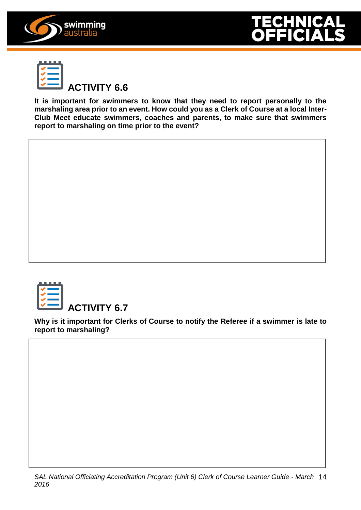





**It is important for swimmers to know that they need to report personally to the marshaling area prior to an event. How could you as a Clerk of Course at a local Inter-Club Meet educate swimmers, coaches and parents, to make sure that swimmers report to marshaling on time prior to the event?**



**Why is it important for Clerks of Course to notify the Referee if a swimmer is late to report to marshaling?**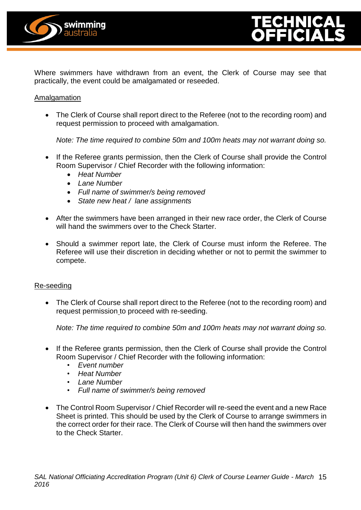



Where swimmers have withdrawn from an event, the Clerk of Course may see that practically, the event could be amalgamated or reseeded.

#### Amalgamation

• The Clerk of Course shall report direct to the Referee (not to the recording room) and request permission to proceed with amalgamation.

*Note: The time required to combine 50m and 100m heats may not warrant doing so.*

- If the Referee grants permission, then the Clerk of Course shall provide the Control Room Supervisor / Chief Recorder with the following information:
	- *Heat Number*
	- *Lane Number*
	- *Full name of swimmer/s being removed*
	- *State new heat / lane assignments*
- After the swimmers have been arranged in their new race order, the Clerk of Course will hand the swimmers over to the Check Starter.
- Should a swimmer report late, the Clerk of Course must inform the Referee. The Referee will use their discretion in deciding whether or not to permit the swimmer to compete.

#### Re-seeding

• The Clerk of Course shall report direct to the Referee (not to the recording room) and request permission to proceed with re-seeding.

*Note: The time required to combine 50m and 100m heats may not warrant doing so.*

- If the Referee grants permission, then the Clerk of Course shall provide the Control Room Supervisor / Chief Recorder with the following information:
	- *Event number*
	- *Heat Number*
	- *Lane Number*
	- *Full name of swimmer/s being removed*
- The Control Room Supervisor / Chief Recorder will re-seed the event and a new Race Sheet is printed. This should be used by the Clerk of Course to arrange swimmers in the correct order for their race. The Clerk of Course will then hand the swimmers over to the Check Starter.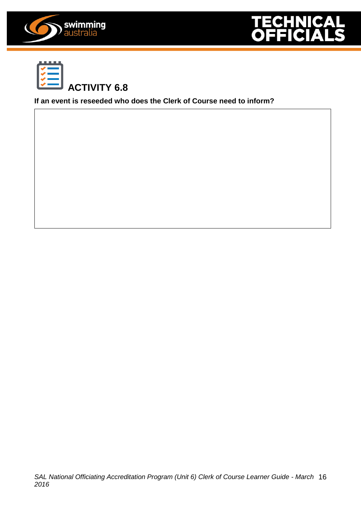





the Referee has the authority to disqualify.

**If an event is reseeded who does the Clerk of Course need to inform?**

Clerks of Course have **NO** authority to disqualify or prevent a swimmer from starting. Only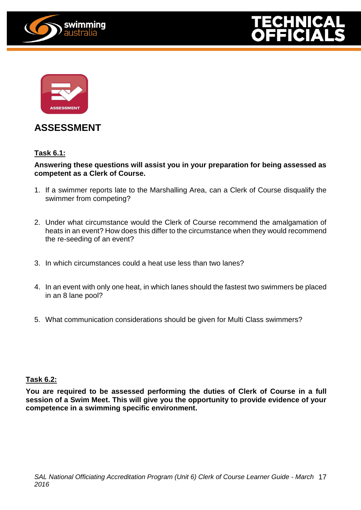





#### **ASSESSMENT**

#### **Task 6.1:**

#### **Answering these questions will assist you in your preparation for being assessed as competent as a Clerk of Course.**

- 1. If a swimmer reports late to the Marshalling Area, can a Clerk of Course disqualify the swimmer from competing?
- 2. Under what circumstance would the Clerk of Course recommend the amalgamation of heats in an event? How does this differ to the circumstance when they would recommend the re-seeding of an event?
- 3. In which circumstances could a heat use less than two lanes?
- 4. In an event with only one heat, in which lanes should the fastest two swimmers be placed in an 8 lane pool?
- 5. What communication considerations should be given for Multi Class swimmers?

#### **Task 6.2:**

**You are required to be assessed performing the duties of Clerk of Course in a full session of a Swim Meet. This will give you the opportunity to provide evidence of your competence in a swimming specific environment.**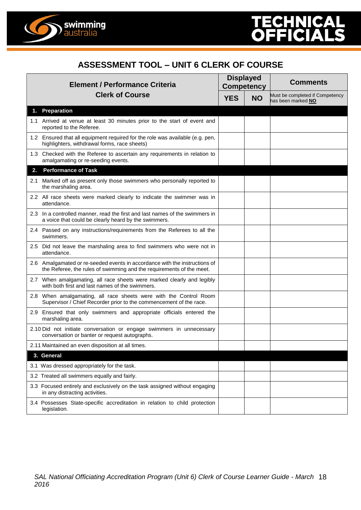



#### **ASSESSMENT TOOL – UNIT 6 CLERK OF COURSE**

|     | <b>Element / Performance Criteria</b>                                                                                                              |            | <b>Displayed</b><br><b>Competency</b> | <b>Comments</b>                                       |
|-----|----------------------------------------------------------------------------------------------------------------------------------------------------|------------|---------------------------------------|-------------------------------------------------------|
|     | <b>Clerk of Course</b>                                                                                                                             | <b>YES</b> | <b>NO</b>                             | Must be completed if Competency<br>has been marked NO |
|     | 1. Preparation                                                                                                                                     |            |                                       |                                                       |
|     | 1.1 Arrived at venue at least 30 minutes prior to the start of event and<br>reported to the Referee.                                               |            |                                       |                                                       |
|     | 1.2 Ensured that all equipment required for the role was available (e.g. pen,<br>highlighters, withdrawal forms, race sheets)                      |            |                                       |                                                       |
|     | 1.3 Checked with the Referee to ascertain any requirements in relation to<br>amalgamating or re-seeding events.                                    |            |                                       |                                                       |
| 2.  | <b>Performance of Task</b>                                                                                                                         |            |                                       |                                                       |
| 2.1 | Marked off as present only those swimmers who personally reported to<br>the marshaling area.                                                       |            |                                       |                                                       |
|     | 2.2 All race sheets were marked clearly to indicate the swimmer was in<br>attendance.                                                              |            |                                       |                                                       |
|     | 2.3 In a controlled manner, read the first and last names of the swimmers in<br>a voice that could be clearly heard by the swimmers.               |            |                                       |                                                       |
|     | 2.4 Passed on any instructions/requirements from the Referees to all the<br>swimmers.                                                              |            |                                       |                                                       |
|     | 2.5 Did not leave the marshaling area to find swimmers who were not in<br>attendance.                                                              |            |                                       |                                                       |
|     | 2.6 Amalgamated or re-seeded events in accordance with the instructions of<br>the Referee, the rules of swimming and the requirements of the meet. |            |                                       |                                                       |
|     | 2.7 When amalgamating, all race sheets were marked clearly and legibly<br>with both first and last names of the swimmers.                          |            |                                       |                                                       |
|     | 2.8 When amalgamating, all race sheets were with the Control Room<br>Supervisor / Chief Recorder prior to the commencement of the race.            |            |                                       |                                                       |
|     | 2.9 Ensured that only swimmers and appropriate officials entered the<br>marshaling area.                                                           |            |                                       |                                                       |
|     | 2.10 Did not initiate conversation or engage swimmers in unnecessary<br>conversation or banter or request autographs.                              |            |                                       |                                                       |
|     | 2.11 Maintained an even disposition at all times.                                                                                                  |            |                                       |                                                       |
|     | 3. General                                                                                                                                         |            |                                       |                                                       |
|     | 3.1 Was dressed appropriately for the task.                                                                                                        |            |                                       |                                                       |
|     | 3.2 Treated all swimmers equally and fairly.                                                                                                       |            |                                       |                                                       |
|     | 3.3 Focused entirely and exclusively on the task assigned without engaging<br>in any distracting activities.                                       |            |                                       |                                                       |
|     | 3.4 Possesses State-specific accreditation in relation to child protection<br>legislation.                                                         |            |                                       |                                                       |